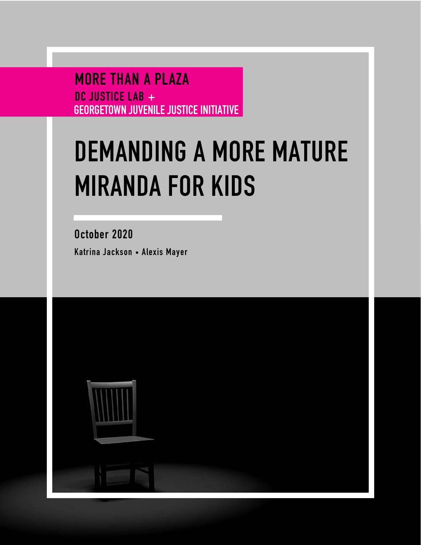MORE THAN A PLAZA DC JUSTICE LAB + GEORGETOWN JUVENILE JUSTICE INITIATIVE

# **DEMANDING A MORE MATURE MIRANDA FOR KIDS**

October 2020 Katrina Jackson • Alexis Mayer

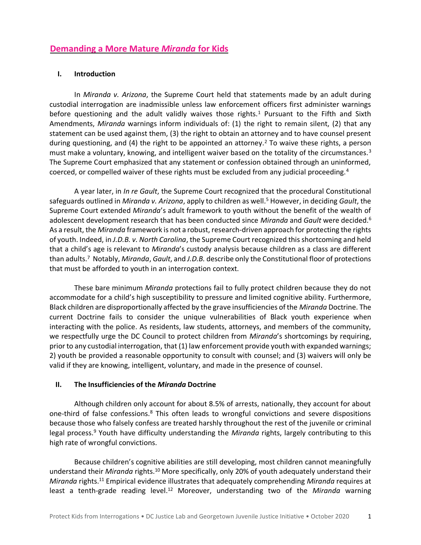## **Demanding a More Mature** *Miranda* **for Kids**

#### **I. Introduction**

In *Miranda v. Arizona*, the Supreme Court held that statements made by an adult during custodial interrogation are inadmissible unless law enforcement officers first administer warnings before questioning and the adult validly waives those rights.<sup>1</sup> Pursuant to the Fifth and Sixth Amendments, *Miranda* warnings inform individuals of: (1) the right to remain silent, (2) that any statement can be used against them, (3) the right to obtain an attorney and to have counsel present during questioning, and (4) the right to be appointed an attorney.<sup>2</sup> To waive these rights, a person must make a voluntary, knowing, and intelligent waiver based on the totality of the circumstances.<sup>3</sup> The Supreme Court emphasized that any statement or confession obtained through an uninformed, coerced, or compelled waiver of these rights must be excluded from any judicial proceeding.<sup>4</sup>

A year later, in *In re Gault*, the Supreme Court recognized that the procedural Constitutional safeguards outlined in *Miranda v. Arizona*, apply to children as well.<sup>5</sup> However, in deciding *Gault*, the Supreme Court extended *Miranda*'s adult framework to youth without the benefit of the wealth of adolescent development research that has been conducted since *Miranda* and *Gault* were decided.<sup>6</sup> As a result, the *Miranda* framework is not a robust, research-driven approach for protecting the rights of youth. Indeed, in *J.D.B. v. North Carolina*, the Supreme Court recognized this shortcoming and held that a child's age is relevant to *Miranda*'s custody analysis because children as a class are different than adults.<sup>7</sup> Notably, *Miranda*, *Gault*, and *J.D.B.* describe only the Constitutional floor of protections that must be afforded to youth in an interrogation context.

These bare minimum *Miranda* protections fail to fully protect children because they do not accommodate for a child's high susceptibility to pressure and limited cognitive ability. Furthermore, Black children are disproportionally affected by the grave insufficiencies of the *Miranda* Doctrine. The current Doctrine fails to consider the unique vulnerabilities of Black youth experience when interacting with the police. As residents, law students, attorneys, and members of the community, we respectfully urge the DC Council to protect children from *Miranda*'s shortcomings by requiring, prior to any custodial interrogation, that (1) law enforcement provide youth with expanded warnings; 2) youth be provided a reasonable opportunity to consult with counsel; and (3) waivers will only be valid if they are knowing, intelligent, voluntary, and made in the presence of counsel.

#### **II. The Insufficiencies of the** *Miranda* **Doctrine**

Although children only account for about 8.5% of arrests, nationally, they account for about one-third of false confessions.<sup>8</sup> This often leads to wrongful convictions and severe dispositions because those who falsely confess are treated harshly throughout the rest of the juvenile or criminal legal process.<sup>9</sup> Youth have difficulty understanding the *Miranda* rights, largely contributing to this high rate of wrongful convictions.

Because children's cognitive abilities are still developing, most children cannot meaningfully understand their *Miranda* rights.<sup>10</sup> More specifically, only 20% of youth adequately understand their *Miranda* rights.<sup>11</sup> Empirical evidence illustrates that adequately comprehending *Miranda* requires at least a tenth-grade reading level.<sup>12</sup> Moreover, understanding two of the *Miranda* warning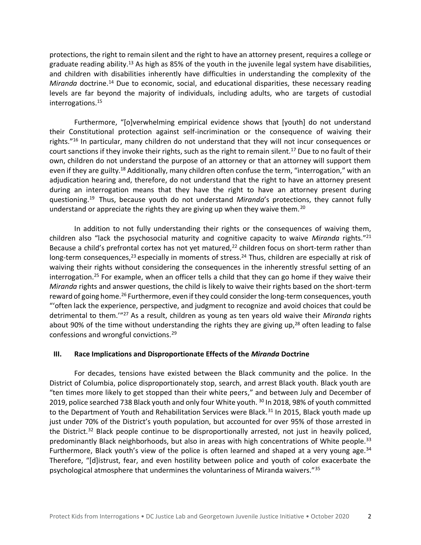protections, the right to remain silent and the right to have an attorney present, requires a college or graduate reading ability.<sup>13</sup> As high as 85% of the youth in the juvenile legal system have disabilities, and children with disabilities inherently have difficulties in understanding the complexity of the *Miranda* doctrine.<sup>14</sup> Due to economic, social, and educational disparities, these necessary reading levels are far beyond the majority of individuals, including adults, who are targets of custodial interrogations.<sup>15</sup>

Furthermore, "[o]verwhelming empirical evidence shows that [youth] do not understand their Constitutional protection against self-incrimination or the consequence of waiving their rights."<sup>16</sup> In particular, many children do not understand that they will not incur consequences or court sanctions if they invoke their rights, such as the right to remain silent.<sup>17</sup> Due to no fault of their own, children do not understand the purpose of an attorney or that an attorney will support them even if they are guilty.<sup>18</sup> Additionally, many children often confuse the term, "interrogation," with an adjudication hearing and, therefore, do not understand that the right to have an attorney present during an interrogation means that they have the right to have an attorney present during questioning.<sup>19</sup> Thus, because youth do not understand *Miranda*'s protections, they cannot fully understand or appreciate the rights they are giving up when they waive them.<sup>20</sup>

In addition to not fully understanding their rights or the consequences of waiving them, children also "lack the psychosocial maturity and cognitive capacity to waive *Miranda* rights."<sup>21</sup> Because a child's prefrontal cortex has not yet matured,<sup>22</sup> children focus on short-term rather than long-term consequences,<sup>23</sup> especially in moments of stress.<sup>24</sup> Thus, children are especially at risk of waiving their rights without considering the consequences in the inherently stressful setting of an interrogation. <sup>25</sup> For example, when an officer tells a child that they can go home if they waive their *Miranda* rights and answer questions, the child is likely to waive their rights based on the short-term reward of going home.<sup>26</sup> Furthermore, even if they could consider the long-term consequences, youth "'often lack the experience, perspective, and judgment to recognize and avoid choices that could be detrimental to them.'"<sup>27</sup> As a result, children as young as ten years old waive their *Miranda* rights about 90% of the time without understanding the rights they are giving up, $^{28}$  often leading to false confessions and wrongful convictions.<sup>29</sup>

#### **III. Race Implications and Disproportionate Effects of the** *Miranda* **Doctrine**

For decades, tensions have existed between the Black community and the police. In the District of Columbia, police disproportionately stop, search, and arrest Black youth. Black youth are "ten times more likely to get stopped than their white peers," and between July and December of 2019, police searched 738 Black youth and only four White youth. <sup>30</sup> In 2018, 98% of youth committed to the Department of Youth and Rehabilitation Services were Black.<sup>31</sup> In 2015, Black youth made up just under 70% of the District's youth population, but accounted for over 95% of those arrested in the District.<sup>32</sup> Black people continue to be disproportionally arrested, not just in heavily policed, predominantly Black neighborhoods, but also in areas with high concentrations of White people.<sup>33</sup> Furthermore, Black youth's view of the police is often learned and shaped at a very young age. $34$ Therefore, "[d]istrust, fear, and even hostility between police and youth of color exacerbate the psychological atmosphere that undermines the voluntariness of Miranda waivers."35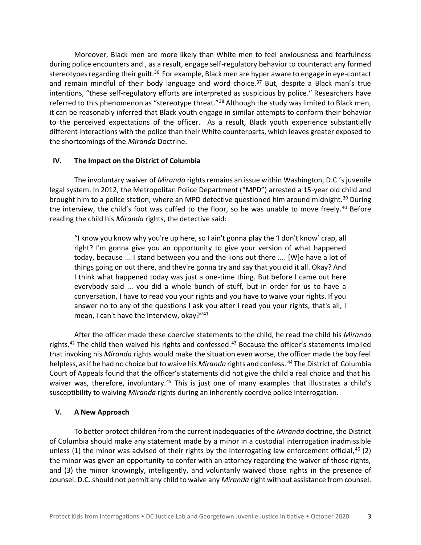Moreover, Black men are more likely than White men to feel anxiousness and fearfulness during police encounters and , as a result, engage self-regulatory behavior to counteract any formed stereotypes regarding their guilt.<sup>36</sup> For example, Black men are hyper aware to engage in eye-contact and remain mindful of their body language and word choice.<sup>37</sup> But, despite a Black man's true intentions, "these self-regulatory efforts are interpreted as suspicious by police." Researchers have referred to this phenomenon as "stereotype threat."<sup>38</sup> Although the study was limited to Black men, it can be reasonably inferred that Black youth engage in similar attempts to conform their behavior to the perceived expectations of the officer. As a result, Black youth experience substantially different interactions with the police than their White counterparts, which leaves greater exposed to the shortcomings of the *Miranda* Doctrine.

#### **IV. The Impact on the District of Columbia**

The involuntary waiver of *Miranda* rights remains an issue within Washington, D.C.'s juvenile legal system. In 2012, the Metropolitan Police Department ("MPD") arrested a 15-year old child and brought him to a police station, where an MPD detective questioned him around midnight.<sup>39</sup> During the interview, the child's foot was cuffed to the floor, so he was unable to move freely.<sup>40</sup> Before reading the child his *Miranda* rights, the detective said:

"I know you know why you're up here, so I ain't gonna play the 'I don't know' crap, all right? I'm gonna give you an opportunity to give your version of what happened today, because ... I stand between you and the lions out there .... [W]e have a lot of things going on out there, and they're gonna try and say that you did it all. Okay? And I think what happened today was just a one-time thing. But before I came out here everybody said ... you did a whole bunch of stuff, but in order for us to have a conversation, I have to read you your rights and you have to waive your rights. If you answer no to any of the questions I ask you after I read you your rights, that's all, I mean, I can't have the interview, okay?"<sup>41</sup>

After the officer made these coercive statements to the child, he read the child his *Miranda*  rights.<sup>42</sup> The child then waived his rights and confessed.<sup>43</sup> Because the officer's statements implied that invoking his *Miranda* rights would make the situation even worse, the officer made the boy feel helpless, as if he had no choice but to waive his *Miranda* rights and confess. <sup>44</sup> The District of Columbia Court of Appeals found that the officer's statements did not give the child a real choice and that his waiver was, therefore, involuntary.<sup>45</sup> This is just one of many examples that illustrates a child's susceptibility to waiving *Miranda* rights during an inherently coercive police interrogation.

#### **V. A New Approach**

To better protect children from the current inadequacies of the *Miranda* doctrine, the District of Columbia should make any statement made by a minor in a custodial interrogation inadmissible unless (1) the minor was advised of their rights by the interrogating law enforcement official,  $46$  (2) the minor was given an opportunity to confer with an attorney regarding the waiver of those rights, and (3) the minor knowingly, intelligently, and voluntarily waived those rights in the presence of counsel. D.C. should not permit any child to waive any *Miranda* right without assistance from counsel.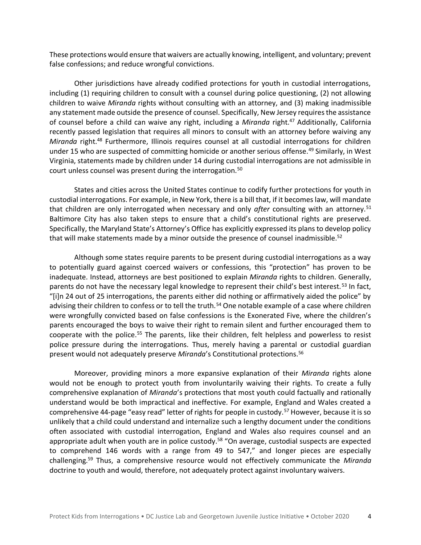These protections would ensure that waivers are actually knowing, intelligent, and voluntary; prevent false confessions; and reduce wrongful convictions.

Other jurisdictions have already codified protections for youth in custodial interrogations, including (1) requiring children to consult with a counsel during police questioning, (2) not allowing children to waive *Miranda* rights without consulting with an attorney, and (3) making inadmissible any statement made outside the presence of counsel. Specifically, New Jersey requires the assistance of counsel before a child can waive any right, including a *Miranda* right.<sup>47</sup> Additionally, California recently passed legislation that requires all minors to consult with an attorney before waiving any *Miranda* right.<sup>48</sup> Furthermore, Illinois requires counsel at all custodial interrogations for children under 15 who are suspected of committing homicide or another serious offense.<sup>49</sup> Similarly, in West Virginia, statements made by children under 14 during custodial interrogations are not admissible in court unless counsel was present during the interrogation.<sup>50</sup>

States and cities across the United States continue to codify further protections for youth in custodial interrogations. For example, in New York, there is a bill that, if it becomes law, will mandate that children are only interrogated when necessary and only *after* consulting with an attorney.<sup>51</sup> Baltimore City has also taken steps to ensure that a child's constitutional rights are preserved. Specifically, the Maryland State's Attorney's Office has explicitly expressed its plans to develop policy that will make statements made by a minor outside the presence of counsel inadmissible.<sup>52</sup>

Although some states require parents to be present during custodial interrogations as a way to potentially guard against coerced waivers or confessions, this "protection" has proven to be inadequate. Instead, attorneys are best positioned to explain *Miranda* rights to children. Generally, parents do not have the necessary legal knowledge to represent their child's best interest.<sup>53</sup> In fact, "[i]n 24 out of 25 interrogations, the parents either did nothing or affirmatively aided the police" by advising their children to confess or to tell the truth.<sup>54</sup> One notable example of a case where children were wrongfully convicted based on false confessions is the Exonerated Five, where the children's parents encouraged the boys to waive their right to remain silent and further encouraged them to cooperate with the police.<sup>55</sup> The parents, like their children, felt helpless and powerless to resist police pressure during the interrogations. Thus, merely having a parental or custodial guardian present would not adequately preserve *Miranda*'s Constitutional protections.<sup>56</sup>

Moreover, providing minors a more expansive explanation of their *Miranda* rights alone would not be enough to protect youth from involuntarily waiving their rights. To create a fully comprehensive explanation of *Miranda*'s protections that most youth could factually and rationally understand would be both impractical and ineffective. For example, England and Wales created a comprehensive 44-page "easy read" letter of rights for people in custody.<sup>57</sup> However, because it is so unlikely that a child could understand and internalize such a lengthy document under the conditions often associated with custodial interrogation, England and Wales also requires counsel and an appropriate adult when youth are in police custody.<sup>58</sup> "On average, custodial suspects are expected to comprehend 146 words with a range from 49 to 547," and longer pieces are especially challenging.<sup>59</sup> Thus, a comprehensive resource would not effectively communicate the *Miranda*  doctrine to youth and would, therefore, not adequately protect against involuntary waivers.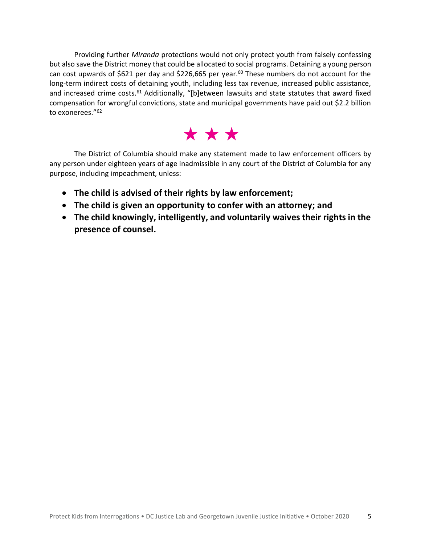Providing further *Miranda* protections would not only protect youth from falsely confessing but also save the District money that could be allocated to social programs. Detaining a young person can cost upwards of \$621 per day and \$226,665 per year.<sup>60</sup> These numbers do not account for the long-term indirect costs of detaining youth, including less tax revenue, increased public assistance, and increased crime costs.<sup>61</sup> Additionally, "[b]etween lawsuits and state statutes that award fixed compensation for wrongful convictions, state and municipal governments have paid out \$2.2 billion to exonerees."<sup>62</sup>



The District of Columbia should make any statement made to law enforcement officers by any person under eighteen years of age inadmissible in any court of the District of Columbia for any purpose, including impeachment, unless:

- **The child is advised of their rights by law enforcement;**
- **The child is given an opportunity to confer with an attorney; and**
- **The child knowingly, intelligently, and voluntarily waives their rights in the presence of counsel.**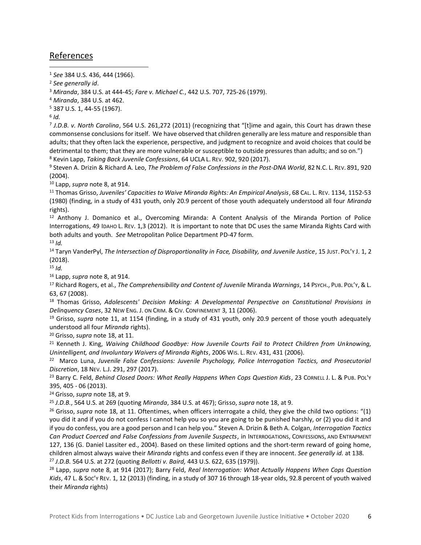### References

<sup>1</sup> *See* 384 U.S. 436, 444 (1966).

<sup>2</sup> *See generally id*.

<sup>3</sup> *Miranda*, 384 U.S. at 444-45; *Fare v. Michael C.*, 442 U.S. 707, 725-26 (1979).

<sup>4</sup> *Miranda*, 384 U.S. at 462.

<sup>5</sup> 387 U.S. 1, 44-55 (1967).

6 *Id.*

7 *J.D.B. v. North Carolina*, 564 U.S. 261,272 (2011) (recognizing that "[t]ime and again, this Court has drawn these commonsense conclusions for itself. We have observed that children generally are less mature and responsible than adults; that they often lack the experience, perspective, and judgment to recognize and avoid choices that could be detrimental to them; that they are more vulnerable or susceptible to outside pressures than adults; and so on.") <sup>8</sup> Kevin Lapp, *Taking Back Juvenile Confessions*, 64 UCLA L. REV. 902, 920 (2017).

<sup>9</sup> Steven A. Drizin & Richard A. Leo, *The Problem of False Confessions in the Post-DNA World*, 82 N.C. L. REV. 891, 920 (2004).

<sup>10</sup> Lapp, *supra* note 8, at 914.

<sup>11</sup> Thomas Grisso, *Juveniles' Capacities to Waive Miranda Rights: An Empirical Analysis*, 68 CAL. L. REV. 1134, 1152-53 (1980) (finding, in a study of 431 youth, only 20.9 percent of those youth adequately understood all four *Miranda*  rights).

<sup>12</sup> Anthony J. Domanico et al., Overcoming Miranda: A Content Analysis of the Miranda Portion of Police Interrogations, 49 IDAHO L. REV. 1,3 (2012). It is important to note that DC uses the same Miranda Rights Card with both adults and youth. *See* Metropolitan Police Department PD-47 form. <sup>13</sup> *Id.*

<sup>14</sup> Taryn VanderPyl, *The Intersection of Disproportionality in Face, Disability, and Juvenile Justice*, 15 JUST. POL'Y J. 1, 2 (2018).

 $15$  *Id.* 

<sup>16</sup> Lapp, *supra* note 8, at 914.

<sup>17</sup> Richard Rogers, et al., *The Comprehensibility and Content of Juvenile* Miranda *Warnings*, 14 PSYCH., PUB. POL'Y, &L. 63, 67 (2008).

<sup>18</sup> Thomas Grisso, *Adolescents' Decision Making: A Developmental Perspective on Constitutional Provisions in Delinquency Cases*, 32 NEW ENG. J. ON CRIM. & CIV. CONFINEMENT 3, 11 (2006).

<sup>19</sup> Grisso, *supra* note 11, at 1154 (finding, in a study of 431 youth, only 20.9 percent of those youth adequately understood all four *Miranda* rights).

<sup>20</sup> Grisso, *supra* note 18, at 11.

<sup>21</sup> Kenneth J. King, *Waiving Childhood Goodbye: How Juvenile Courts Fail to Protect Children from Unknowing, Unintelligent, and Involuntary Waivers of Miranda Rights*, 2006 WIS. L. REV. 431, 431 (2006).

<sup>22</sup> Marco Luna, *Juvenile False Confessions: Juvenile Psychology, Police Interrogation Tactics, and Prosecutorial Discretion*, 18 NEV. L.J. 291, 297 (2017).

<sup>23</sup> Barry C. Feld, *Behind Closed Doors: What Really Happens When Cops Question Kids*, 23 CORNELL J. L. & PUB. POL'Y 395, 405 - 06 (2013).

<sup>24</sup> Grisso, *supra* note 18, at 9.

<sup>25</sup> *J.D.B.*, 564 U.S. at 269 (quoting *Miranda*, 384 U.S. at 467); Grisso, *supra* note 18, at 9.

<sup>26</sup> Grisso, *supra* note 18, at 11. Oftentimes, when officers interrogate a child, they give the child two options: "(1) you did it and if you do not confess I cannot help you so you are going to be punished harshly, or (2) you did it and if you do confess, you are a good person and I can help you." Steven A. Drizin & Beth A. Colgan, *Interrogation Tactics Can Product Coerced and False Confessions from Juvenile Suspects*, in INTERROGATIONS, CONFESSIONS, AND ENTRAPMENT 127, 136 (G. Daniel Lassiter ed., 2004). Based on these limited options and the short-term reward of going home, children almost always waive their *Miranda* rights and confess even if they are innocent. *See generally id.* at 138. <sup>27</sup> *J.D.B.* 564 U.S. at 272 (quoting *Bellotti v. Baird,* 443 U.S. 622, 635 (1979)).

<sup>28</sup> Lapp, *supra* note 8, at 914 (2017); Barry Feld, *Real Interrogation: What Actually Happens When Cops Question*  Kids, 47 L. & Soc'y Rev. 1, 12 (2013) (finding, in a study of 307 16 through 18-year olds, 92.8 percent of youth waived their *Miranda* rights)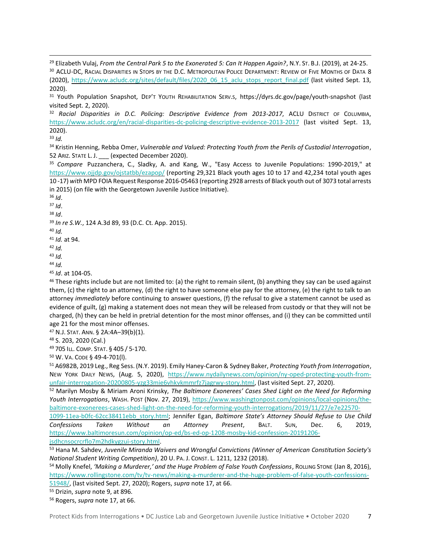<sup>32</sup> *Racial Disparities in D.C. Policing: Descriptive Evidence from 2013-2017*, ACLU DISTRICT OF COLUMBIA, <https://www.acludc.org/en/racial-disparities-dc-policing-descriptive-evidence-2013-2017> (last visited Sept. 13, 2020).

<sup>33</sup> *Id.*

<sup>34</sup> Kristin Henning, Rebba Omer, *Vulnerable and Valued: Protecting Youth from the Perils of Custodial Interrogation*, 52 ARIZ. STATE L. J. \_\_\_ (expected December 2020).

<sup>36</sup> *Id*.

<sup>37</sup> *Id*.

<sup>38</sup> *Id*.

<sup>39</sup> *In re S.W.*, 124 A.3d 89, 93 (D.C. Ct. App. 2015).

<sup>40</sup> *Id.*

<sup>41</sup> *Id.* at 94.

<sup>42</sup> *Id.*

<sup>43</sup> *Id.*

<sup>44</sup> *Id.*

<sup>45</sup> *Id*. at 104-05.

 $46$  These rights include but are not limited to: (a) the right to remain silent, (b) anything they say can be used against them, (c) the right to an attorney, (d) the right to have someone else pay for the attorney, (e) the right to talk to an attorney *immediately* before continuing to answer questions, (f) the refusal to give a statement cannot be used as evidence of guilt, (g) making a statement does not mean they will be released from custody or that they will not be charged, (h) they can be held in pretrial detention for the most minor offenses, and (i) they can be committed until age 21 for the most minor offenses.

<sup>47</sup> N.J. STAT. ANN. § 2A:4A–39(b)(1).

<sup>48</sup> S. 203, 2020 (Cal.)

<sup>49</sup> 705 ILL. COMP. STAT. § 405 / 5-170.

<sup>50</sup> W. VA. CODE § 49-4-701(l).

<sup>51</sup> A6982B, 2019 Leg., Reg Sess. (N.Y. 2019). Emily Haney-Caron & Sydney Baker, *Protecting Youth from Interrogation*, NEW YORK DAILY NEWS, (Aug. 5, 2020), [https://www.nydailynews.com/opinion/ny-oped-protecting-youth-from](https://www.nydailynews.com/opinion/ny-oped-protecting-youth-from-unfair-interrogation-20200805-yzg33mie6vhkvkmmrfz7jagrwy-story.html)[unfair-interrogation-20200805-yzg33mie6vhkvkmmrfz7jagrwy-story.html,](https://www.nydailynews.com/opinion/ny-oped-protecting-youth-from-unfair-interrogation-20200805-yzg33mie6vhkvkmmrfz7jagrwy-story.html) (last visited Sept. 27, 2020).

<sup>52</sup> Marilyn Mosby & Miriam Aroni Krinsky, *The Baltimore Exonerees' Cases Shed Light on the Need for Reforming Youth Interrogations*, WASH. POST (Nov. 27, 2019), [https://www.washingtonpost.com/opinions/local-opinions/the](https://www.washingtonpost.com/opinions/local-opinions/the-baltimore-exonerees-cases-shed-light-on-the-need-for-reforming-youth-interrogations/2019/11/27/e7e22570-1099-11ea-b0fc-62cc38411ebb_story.html)[baltimore-exonerees-cases-shed-light-on-the-need-for-reforming-youth-interrogations/2019/11/27/e7e22570-](https://www.washingtonpost.com/opinions/local-opinions/the-baltimore-exonerees-cases-shed-light-on-the-need-for-reforming-youth-interrogations/2019/11/27/e7e22570-1099-11ea-b0fc-62cc38411ebb_story.html)

[1099-11ea-b0fc-62cc38411ebb\\_story.html;](https://www.washingtonpost.com/opinions/local-opinions/the-baltimore-exonerees-cases-shed-light-on-the-need-for-reforming-youth-interrogations/2019/11/27/e7e22570-1099-11ea-b0fc-62cc38411ebb_story.html) Jennifer Egan, *Baltimore State's Attorney Should Refuse to Use Child Confessions Taken Without an Attorney Present*, BALT. SUN, Dec. 6, 2019, [https://www.baltimoresun.com/opinion/op-ed/bs-ed-op-1208-mosby-kid-confession-20191206](https://www.baltimoresun.com/opinion/op-ed/bs-ed-op-1208-mosby-kid-confession-20191206-jsdhcnsocrcrflo7m2hdkygzui-story.html) [jsdhcnsocrcrflo7m2hdkygzui-story.html.](https://www.baltimoresun.com/opinion/op-ed/bs-ed-op-1208-mosby-kid-confession-20191206-jsdhcnsocrcrflo7m2hdkygzui-story.html)

<sup>53</sup> Hana M. Sahdev, *Juvenile Miranda Waivers and Wrongful Convictions (Winner of American Constitution Society's National Student Writing Competition)*, 20 U. PA. J. CONST. L. 1211, 1232 (2018).

<sup>54</sup> Molly Knefel, *'Making a Murderer,' and the Huge Problem of False Youth Confessions*, ROLLING STONE (Jan 8, 2016), [https://www.rollingstone.com/tv/tv-news/making-a-murderer-and-the-huge-problem-of-false-youth-confessions-](https://www.rollingstone.com/tv/tv-news/making-a-murderer-and-the-huge-problem-of-false-youth-confessions-51948/)

[51948/,](https://www.rollingstone.com/tv/tv-news/making-a-murderer-and-the-huge-problem-of-false-youth-confessions-51948/) (last visited Sept. 27, 2020); Rogers, *supra* note 17, at 66.

<sup>55</sup> Drizin, *supra* note 9, at 896.

<sup>56</sup> Rogers, *supra* note 17, at 66.

<sup>29</sup> Elizabeth Vulaj, *From the Central Park 5 to the Exonerated 5: Can It Happen Again?*, N.Y. ST. B.J. (2019), at 24-25. <sup>30</sup> ACLU-DC, RACIAL DISPARITIES IN STOPS BY THE D.C. METROPOLITAN POLICE DEPARTMENT: REVIEW OF FIVE MONTHS OF DATA 8 (2020), [https://www.acludc.org/sites/default/files/2020\\_06\\_15\\_aclu\\_stops\\_report\\_final.pdf](https://www.acludc.org/sites/default/files/2020_06_15_aclu_stops_report_final.pdf) (last visited Sept. 13, 2020).

<sup>31</sup> Youth Population Snapshot, DEP'T YOUTH REHABILITATION SERV.S, https://dyrs.dc.gov/page/youth-snapshot (last visited Sept. 2, 2020).

<sup>35</sup> *Compare* Puzzanchera, C., Sladky, A. and Kang, W., "Easy Access to Juvenile Populations: 1990-2019," at <https://www.ojjdp.gov/ojstatbb/ezapop/> (reporting 29,321 Black youth ages 10 to 17 and 42,234 total youth ages 10 -17) *with* MPD FOIA Request Response 2016-05463 (reporting 2928 arrests of Black youth out of 3073 total arrests in 2015) (on file with the Georgetown Juvenile Justice Initiative).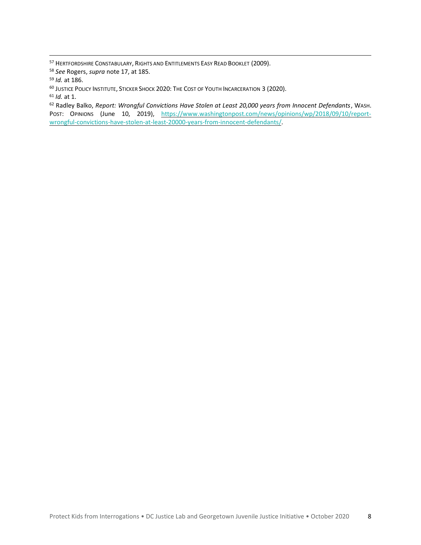HERTFORDSHIRE CONSTABULARY, RIGHTS AND ENTITLEMENTS EASY READ BOOKLET (2009).

*See* Rogers, *supra* note 17, at 185.

JUSTICE POLICY INSTITUTE, STICKER SHOCK 2020: THE COST OF YOUTH INCARCERATION 3 (2020).

*Id.* at 1.

 Radley Balko, *Report: Wrongful Convictions Have Stolen at Least 20,000 years from Innocent Defendants*, WASH. POST: OPINIONS (June 10, 2019), [https://www.washingtonpost.com/news/opinions/wp/2018/09/10/report](https://www.washingtonpost.com/news/opinions/wp/2018/09/10/report-wrongful-convictions-have-stolen-at-least-20000-years-from-innocent-defendants/)[wrongful-convictions-have-stolen-at-least-20000-years-from-innocent-defendants/.](https://www.washingtonpost.com/news/opinions/wp/2018/09/10/report-wrongful-convictions-have-stolen-at-least-20000-years-from-innocent-defendants/)

*Id.* at 186.